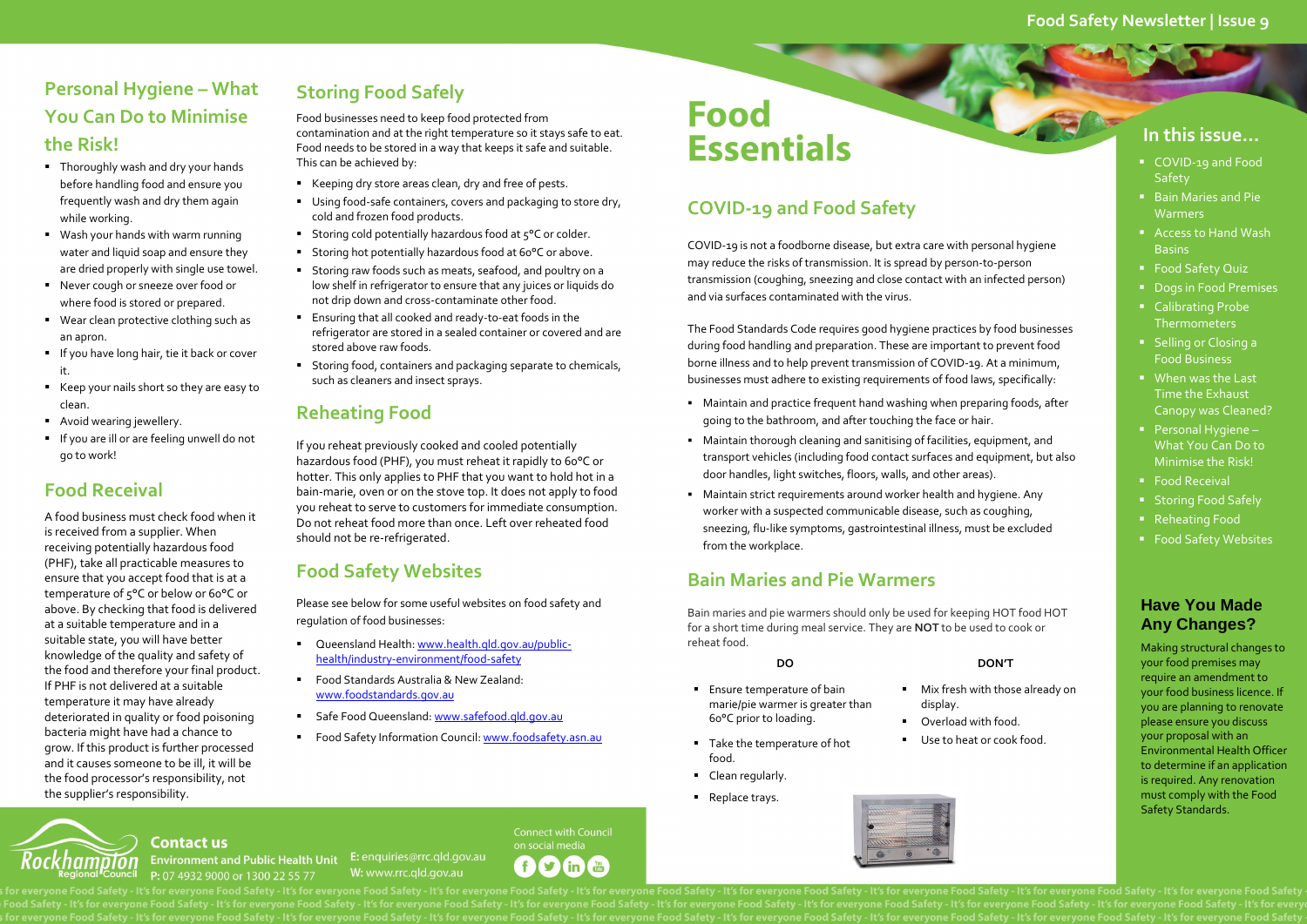#### **Have You Made Any Changes?**

Making structural changes to your food premises may require an amendment to your food business licence. If you are planning to renovate please ensure you discuss your proposal with an Environmental Health Officer to determine if an application is required. Any renovation must comply with the Food Safety Standards.

### **COVID-19 and Food Safety**

COVID-19 is not a foodborne disease, but extra care with personal hygiene may reduce the risks of transmission. It is spread by person-to-person transmission (coughing, sneezing and close contact with an infected person) and via surfaces contaminated with the virus.

The Food Standards Code requires good hygiene practices by food businesses during food handling and preparation. These are important to prevent food borne illness and to help prevent transmission of COVID-19. At a minimum, businesses must adhere to existing requirements of food laws, specifically:

- Thoroughly wash and dry your hands before handling food and ensure you frequently wash and dry them again while working.
- Wash your hands with warm running water and liquid soap and ensure they are dried properly with single use towel.
- Never cough or sneeze over food or where food is stored or prepared.
- Wear clean protective clothing such as an apron.
- **If you have long hair, tie it back or cover** it.
- Keep your nails short so they are easy to clean.
- **Avoid wearing jewellery.**
- **If you are ill or are feeling unwell do not** go to work!
- Maintain and practice frequent hand washing when preparing foods, after going to the bathroom, and after touching the face or hair.
- Maintain thorough cleaning and sanitising of facilities, equipment, and transport vehicles (including food contact surfaces and equipment, but also door handles, light switches, floors, walls, and other areas).
- Maintain strict requirements around worker health and hygiene. Any worker with a suspected communicable disease, such as coughing, sneezing, flu-like symptoms, gastrointestinal illness, must be excluded from the workplace.

### **Bain Maries and Pie Warmers**

Bain maries and pie warmers should only be used for keeping HOT food HOT for a short time during meal service. They are **NOT** to be used to cook or reheat food.

- **Ensure temperature of bain** marie/pie warmer is greater than 60°C prior to loading.
- Take the temperature of hot food.
- Clean regularly.
- **Replace trays.**





#### **Contact us** Environment and Public Health Unit E: enquiries@rrc.qld.gov.au P: 07 4932 9000 or 1300 22 55 77

W: www.rrc.gld.gov.au

**Connect with Council** on social media  $\mathbf{r}$ in (Figure  $f$ 

#### **DO DON'T**

**Mix fresh with those already on** 

display.

 Overload with food. Use to heat or cook food.

- Keeping dry store areas clean, dry and free of pests.
- Using food-safe containers, covers and packaging to store dry, cold and frozen food products.
- Storing cold potentially hazardous food at 5°C or colder.
- Storing hot potentially hazardous food at 60°C or above.
- Storing raw foods such as meats, seafood, and poultry on a low shelf in refrigerator to ensure that any juices or liquids do not drip down and cross-contaminate other food.
- Ensuring that all cooked and ready-to-eat foods in the refrigerator are stored in a sealed container or covered and are stored above raw foods.
- **Storing food, containers and packaging separate to chemicals,** such as cleaners and insect sprays.

### **Personal Hygiene – What You Can Do to Minimise the Risk!**

- Queensland Health: [www.health.qld.gov.au/public](file:///C:/Users/wooleyt/AppData/Local/Microsoft/Windows/Temporary%20Internet%20Files/Content.Outlook/VH507BFS/www.health.qld.gov.au/public-health/industry-environment/food-safety)[health/industry-environment/food-safety](file:///C:/Users/wooleyt/AppData/Local/Microsoft/Windows/Temporary%20Internet%20Files/Content.Outlook/VH507BFS/www.health.qld.gov.au/public-health/industry-environment/food-safety)
- Food Standards Australia & New Zealand: [www.foodstandards.gov.au](http://www.foodstandards.gov.au/)
- Safe Food Queensland: [www.safefood.qld.gov.au](http://www.safefood.qld.gov.au/)
- Food Safety Information Council[: www.foodsafety.asn.au](http://www.foodsafety.asn.au/)

# **Food Essentials**

### **Food Receival**

A food business must check food when it is received from a supplier. When receiving potentially hazardous food (PHF), take all practicable measures to ensure that you accept food that is at a temperature of 5°C or below or 60°C or above. By checking that food is delivered at a suitable temperature and in a suitable state, you will have better knowledge of the quality and safety of the food and therefore your final product. If PHF is not delivered at a suitable temperature it may have already deteriorated in quality or food poisoning bacteria might have had a chance to grow. If this product is further processed and it causes someone to be ill, it will be the food processor's responsibility, not the supplier's responsibility.

## **Storing Food Safely**

Food businesses need to keep food protected from contamination and at the right temperature so it stays safe to eat. Food needs to be stored in a way that keeps it safe and suitable. This can be achieved by:

### **Reheating Food**

If you reheat previously cooked and cooled potentially hazardous food (PHF), you must reheat it rapidly to 60°C or hotter. This only applies to PHF that you want to hold hot in a bain-marie, oven or on the stove top. It does not apply to food you reheat to serve to customers for immediate consumption. Do not reheat food more than once. Left over reheated food should not be re-refrigerated.

### **Food Safety Websites**

Please see below for some useful websites on food safety and regulation of food businesses:

#### **Food Safety Newsletter | Issue 9**

#### **In this issue…**

- COVID-19 and Food Safety
- **Bain Maries and Pie Warmers**
- Access to Hand Wash Basins
- **Food Safety Quiz**
- **Dogs in Food Premises**
- **Calibrating Probe Thermometers**
- **Selling or Closing a** Food Business
- **When was the Last** Time the Exhaust Canopy was Cleaned?
- Personal Hygiene What You Can Do to Minimise the Risk!
- Food Receival
- **Storing Food Safely**
- Reheating Food
- Food Safety Websites